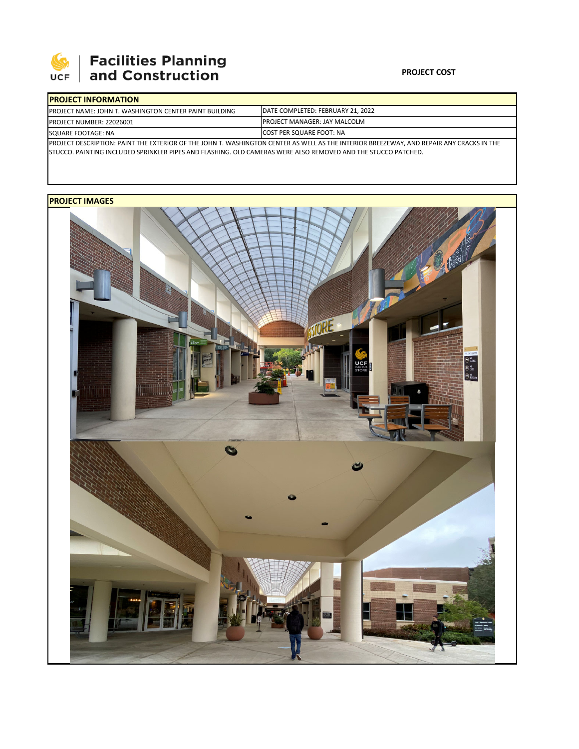

## **Facilities Planning<br>and Construction**

### **PROJECT COST**

| <b>IPROJECT INFORMATION</b>                                                                                                              |                                           |  |  |  |
|------------------------------------------------------------------------------------------------------------------------------------------|-------------------------------------------|--|--|--|
| <b>IPROJECT NAME: JOHN T. WASHINGTON CENTER PAINT BUILDING</b>                                                                           | <b>IDATE COMPLETED: FEBRUARY 21, 2022</b> |  |  |  |
| <b>PROJECT NUMBER: 22026001</b>                                                                                                          | <b>IPROJECT MANAGER: JAY MALCOLM</b>      |  |  |  |
| SQUARE FOOTAGE: NA                                                                                                                       | <b>ICOST PER SQUARE FOOT: NA</b>          |  |  |  |
| PROJECT DESCRIPTION: PAINT THE EXTERIOR OF THE JOHN T. WASHINGTON CENTER AS WELL AS THE INTERIOR BREEZEWAY, AND REPAIR ANY CRACKS IN THE |                                           |  |  |  |

STUCCO. PAINTING INCLUDED SPRINKLER PIPES AND FLASHING. OLD CAMERAS WERE ALSO REMOVED AND THE STUCCO PATCHED.

## **PROJECT IMAGES**